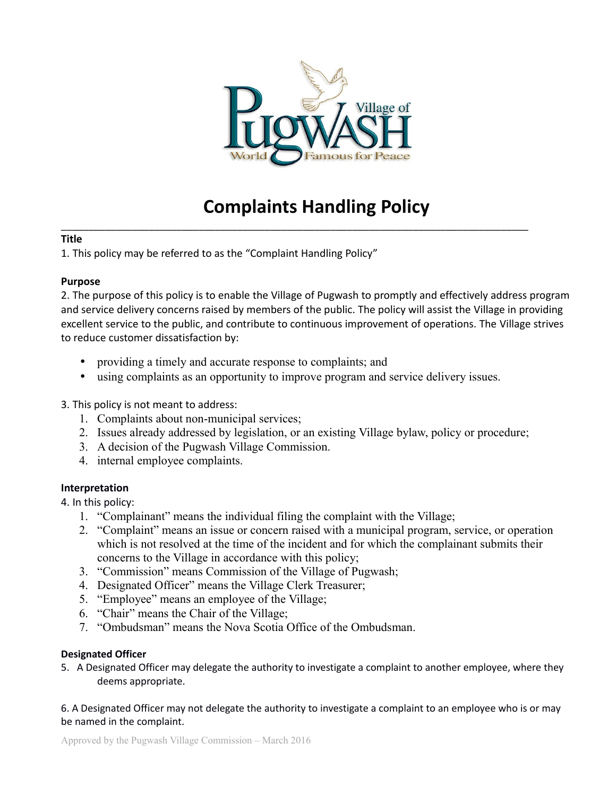

# **Complaints Handling Policy**

\_\_\_\_\_\_\_\_\_\_\_\_\_\_\_\_\_\_\_\_\_\_\_\_\_\_\_\_\_\_\_\_\_\_\_\_\_\_\_\_\_\_\_\_\_\_\_\_\_\_\_\_\_\_\_\_\_\_\_\_\_\_\_\_\_\_\_\_\_\_\_\_\_\_\_\_\_\_\_\_\_\_\_\_\_

### **Title**

1. This policy may be referred to as the "Complaint Handling Policy"

### **Purpose**

2. The purpose of this policy is to enable the Village of Pugwash to promptly and effectively address program and service delivery concerns raised by members of the public. The policy will assist the Village in providing excellent service to the public, and contribute to continuous improvement of operations. The Village strives to reduce customer dissatisfaction by:

- providing a timely and accurate response to complaints; and
- using complaints as an opportunity to improve program and service delivery issues.

3. This policy is not meant to address:

- 1. Complaints about non-municipal services;
- 2. Issues already addressed by legislation, or an existing Village bylaw, policy or procedure;
- 3. A decision of the Pugwash Village Commission.
- 4. internal employee complaints.

### **Interpretation**

4. In this policy:

- 1. "Complainant" means the individual filing the complaint with the Village;
- 2. "Complaint" means an issue or concern raised with a municipal program, service, or operation which is not resolved at the time of the incident and for which the complainant submits their concerns to the Village in accordance with this policy;
- 3. "Commission" means Commission of the Village of Pugwash;
- 4. Designated Officer" means the Village Clerk Treasurer;
- 5. "Employee" means an employee of the Village;
- 6. "Chair" means the Chair of the Village;
- 7. "Ombudsman" means the Nova Scotia Office of the Ombudsman.

### **Designated Officer**

5. A Designated Officer may delegate the authority to investigate a complaint to another employee, where they deems appropriate.

6. A Designated Officer may not delegate the authority to investigate a complaint to an employee who is or may be named in the complaint.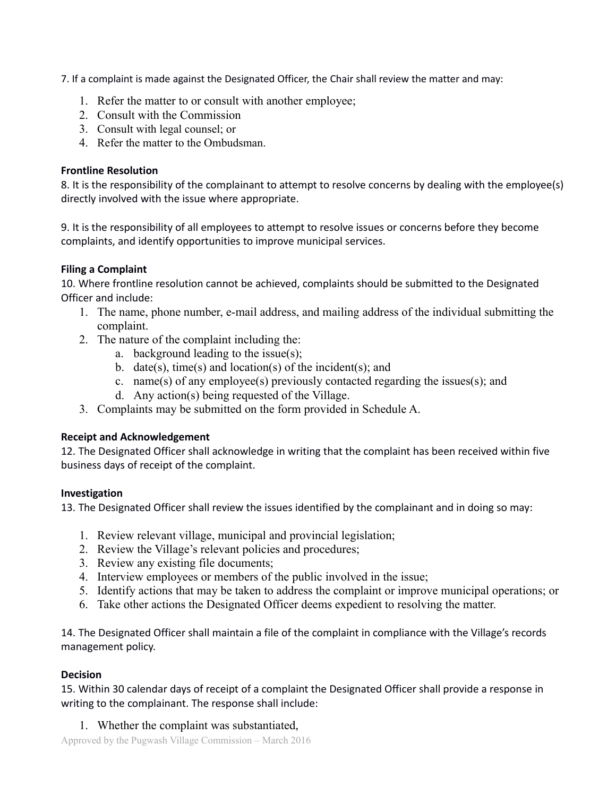7. If a complaint is made against the Designated Officer, the Chair shall review the matter and may:

- 1. Refer the matter to or consult with another employee;
- 2. Consult with the Commission
- 3. Consult with legal counsel; or
- 4. Refer the matter to the Ombudsman.

### **Frontline Resolution**

8. It is the responsibility of the complainant to attempt to resolve concerns by dealing with the employee(s) directly involved with the issue where appropriate.

9. It is the responsibility of all employees to attempt to resolve issues or concerns before they become complaints, and identify opportunities to improve municipal services.

# **Filing a Complaint**

10. Where frontline resolution cannot be achieved, complaints should be submitted to the Designated Officer and include:

- 1. The name, phone number, e-mail address, and mailing address of the individual submitting the complaint.
- 2. The nature of the complaint including the:
	- a. background leading to the issue(s);
	- b. date(s), time(s) and location(s) of the incident(s); and
	- c. name(s) of any employee(s) previously contacted regarding the issues(s); and
	- d. Any action(s) being requested of the Village.
- 3. Complaints may be submitted on the form provided in Schedule A.

# **Receipt and Acknowledgement**

12. The Designated Officer shall acknowledge in writing that the complaint has been received within five business days of receipt of the complaint.

# **Investigation**

13. The Designated Officer shall review the issues identified by the complainant and in doing so may:

- 1. Review relevant village, municipal and provincial legislation;
- 2. Review the Village's relevant policies and procedures;
- 3. Review any existing file documents;
- 4. Interview employees or members of the public involved in the issue;
- 5. Identify actions that may be taken to address the complaint or improve municipal operations; or
- 6. Take other actions the Designated Officer deems expedient to resolving the matter.

14. The Designated Officer shall maintain a file of the complaint in compliance with the Village's records management policy.

# **Decision**

15. Within 30 calendar days of receipt of a complaint the Designated Officer shall provide a response in writing to the complainant. The response shall include:

1. Whether the complaint was substantiated,

Approved by the Pugwash Village Commission – March 2016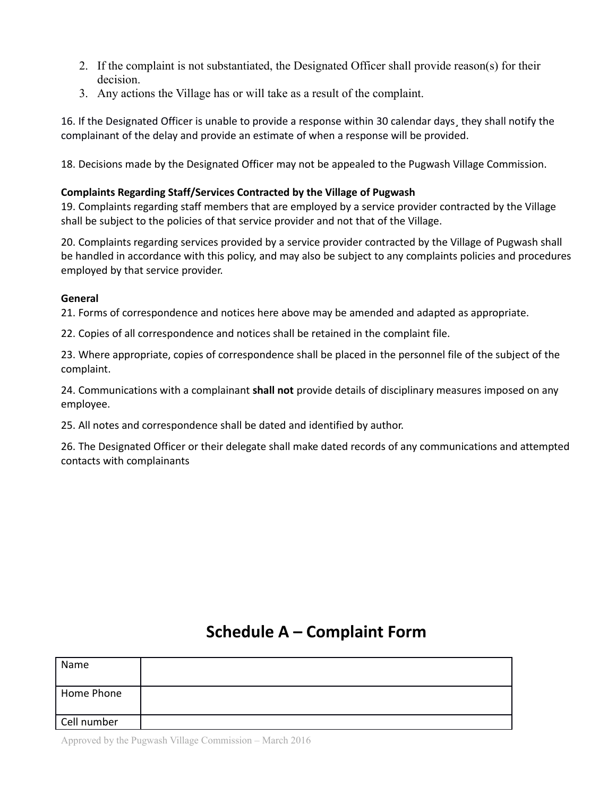- 2. If the complaint is not substantiated, the Designated Officer shall provide reason(s) for their decision.
- 3. Any actions the Village has or will take as a result of the complaint.

16. If the Designated Officer is unable to provide a response within 30 calendar days¸ they shall notify the complainant of the delay and provide an estimate of when a response will be provided.

18. Decisions made by the Designated Officer may not be appealed to the Pugwash Village Commission.

### **Complaints Regarding Staff/Services Contracted by the Village of Pugwash**

19. Complaints regarding staff members that are employed by a service provider contracted by the Village shall be subject to the policies of that service provider and not that of the Village.

20. Complaints regarding services provided by a service provider contracted by the Village of Pugwash shall be handled in accordance with this policy, and may also be subject to any complaints policies and procedures employed by that service provider.

#### **General**

21. Forms of correspondence and notices here above may be amended and adapted as appropriate.

22. Copies of all correspondence and notices shall be retained in the complaint file.

23. Where appropriate, copies of correspondence shall be placed in the personnel file of the subject of the complaint.

24. Communications with a complainant **shall not** provide details of disciplinary measures imposed on any employee.

25. All notes and correspondence shall be dated and identified by author.

26. The Designated Officer or their delegate shall make dated records of any communications and attempted contacts with complainants

# **Schedule A – Complaint Form**

| Name        |  |
|-------------|--|
| Home Phone  |  |
| Cell number |  |

Approved by the Pugwash Village Commission – March 2016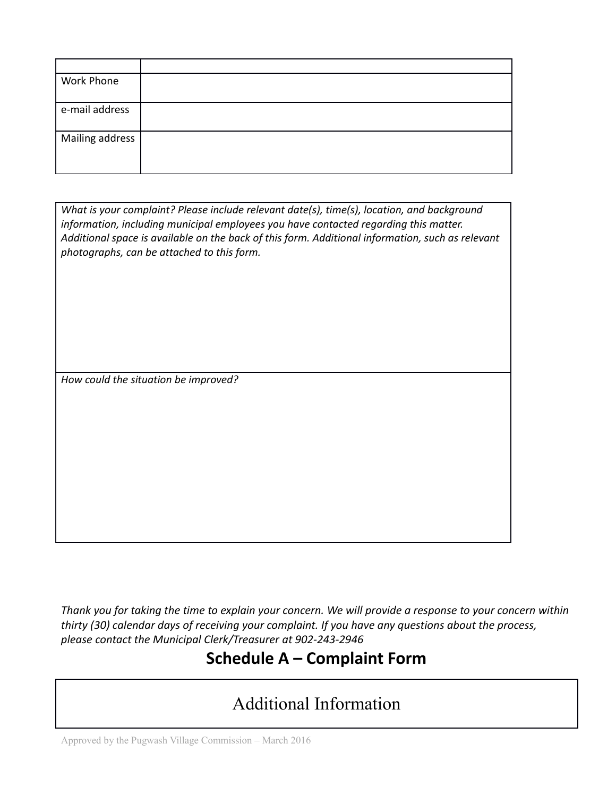| Work Phone      |  |
|-----------------|--|
| e-mail address  |  |
| Mailing address |  |

*What is your complaint? Please include relevant date(s), time(s), location, and background information, including municipal employees you have contacted regarding this matter. Additional space is available on the back of this form. Additional information, such as relevant photographs, can be attached to this form.* 

*How could the situation be improved?*

*Thank you for taking the time to explain your concern. We will provide a response to your concern within thirty (30) calendar days of receiving your complaint. If you have any questions about the process, please contact the Municipal Clerk/Treasurer at 902-243-2946*

# **Schedule A – Complaint Form**

# Additional Information